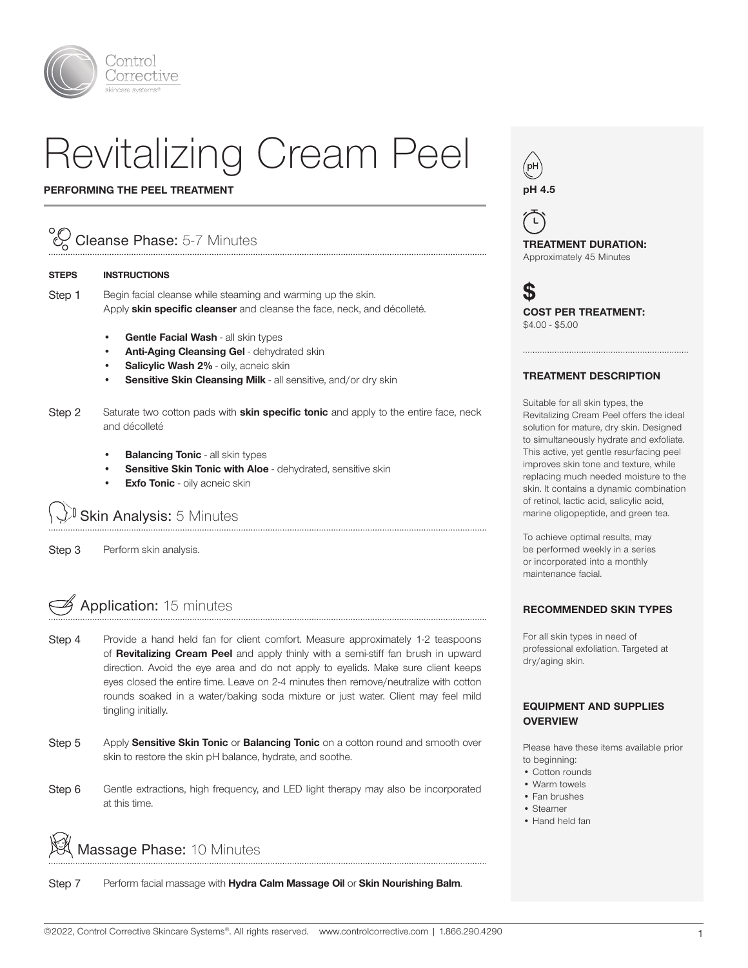

# Revitalizing Cream Peel

#### PERFORMING THE PEEL TREATMENT

## Cleanse Phase: 5-7 Minutes

#### STEPS INSTRUCTIONS

Step 1 Begin facial cleanse while steaming and warming up the skin. Apply skin specific cleanser and cleanse the face, neck, and décolleté.

- Gentle Facial Wash all skin types
- Anti-Aging Cleansing Gel dehydrated skin
- Salicylic Wash 2% oily, acneic skin
- Sensitive Skin Cleansing Milk all sensitive, and/or dry skin
- Step 2 Saturate two cotton pads with **skin specific tonic** and apply to the entire face, neck and décolleté

- **Balancing Tonic all skin types**
- Sensitive Skin Tonic with Aloe dehydrated, sensitive skin
- **Exfo Tonic** oily acneic skin

### Skin Analysis: 5 Minutes

Step 3 Perform skin analysis.

## Application: 15 minutes

- Step 4 Provide a hand held fan for client comfort. Measure approximately 1-2 teaspoons of Revitalizing Cream Peel and apply thinly with a semi-stiff fan brush in upward direction. Avoid the eye area and do not apply to eyelids. Make sure client keeps eyes closed the entire time. Leave on 2-4 minutes then remove/neutralize with cotton rounds soaked in a water/baking soda mixture or just water. Client may feel mild tingling initially.
- Step 5 Apply Sensitive Skin Tonic or Balancing Tonic on a cotton round and smooth over skin to restore the skin pH balance, hydrate, and soothe.
- Step 6 Gentle extractions, high frequency, and LED light therapy may also be incorporated at this time.



Step 7 Perform facial massage with Hydra Calm Massage Oil or Skin Nourishing Balm.

/pH pH 4.5

 $\mathsf{L}$ TREATMENT DURATION: Approximately 45 Minutes

S COST PER TREATMENT: \$4.00 - \$5.00

#### TREATMENT DESCRIPTION

Suitable for all skin types, the Revitalizing Cream Peel offers the ideal solution for mature, dry skin. Designed to simultaneously hydrate and exfoliate. This active, yet gentle resurfacing peel improves skin tone and texture, while replacing much needed moisture to the skin. It contains a dynamic combination of retinol, lactic acid, salicylic acid, marine oligopeptide, and green tea.

To achieve optimal results, may be performed weekly in a series or incorporated into a monthly maintenance facial.

#### RECOMMENDED SKIN TYPES

For all skin types in need of professional exfoliation. Targeted at dry/aging skin.

#### EQUIPMENT AND SUPPLIES **OVERVIEW**

Please have these items available prior to beginning:

- Cotton rounds
- Warm towels
- Fan brushes
- Steamer
- Hand held fan